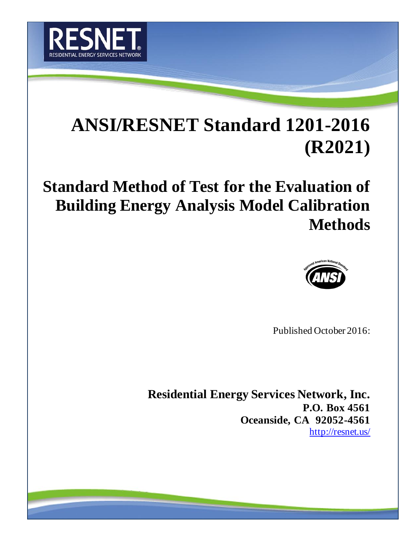

# **ANSI/RESNET Standard 1201-2016 (R2021)**

**Standard Method of Test for the Evaluation of Building Energy Analysis Model Calibration Methods**



Published October 2016:

**Residential Energy Services Network, Inc. P.O. Box 4561 Oceanside, CA 92052-4561** <http://resnet.us/>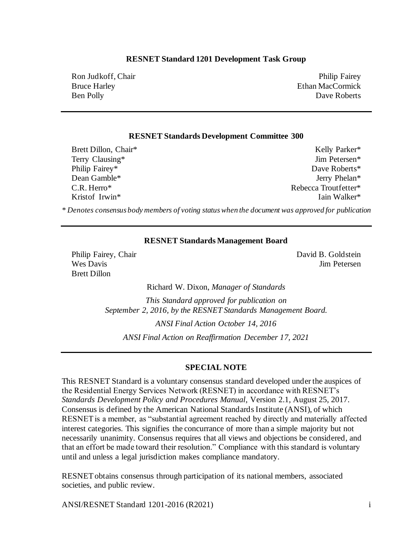#### **RESNET Standard 1201 Development Task Group**

Ron Judkoff, Chair Bruce Harley Ben Polly

Philip Fairey Ethan MacCormick Dave Roberts

#### **RESNET Standards Development Committee 300**

Brett Dillon, Chair\* Terry Clausing\* Philip Fairey\* Dean Gamble\* C.R. Herro\* Kristof Irwin\*

Kelly Parker\* Jim Petersen\* Dave Roberts\* Jerry Phelan\* Rebecca Troutfetter\* Iain Walker\*

*\* Denotes consensus body members of voting status when the document was approved for publication*

#### **RESNET Standards Management Board**

Philip Fairey, Chair Wes Davis Brett Dillon

David B. Goldstein Jim Petersen

Richard W. Dixon, *Manager of Standards*

*This Standard approved for publication on September 2, 2016, by the RESNET Standards Management Board.*

*ANSI Final Action October 14, 2016*

*ANSI Final Action on Reaffirmation December 17, 2021*

#### **SPECIAL NOTE**

This RESNET Standard is a voluntary consensus standard developed under the auspices of the Residential Energy Services Network (RESNET) in accordance with RESNET's *Standards Development Policy and Procedures Manual*, Version 2.1, August 25, 2017. Consensus is defined by the American National Standards Institute (ANSI), of which RESNET is a member, as "substantial agreement reached by directly and materially affected interest categories. This signifies the concurrance of more than a simple majority but not necessarily unanimity. Consensus requires that all views and objections be considered, and that an effort be made toward their resolution." Compliance with this standard is voluntary until and unless a legal jurisdiction makes compliance mandatory.

RESNET obtains consensus through participation of its national members, associated societies, and public review.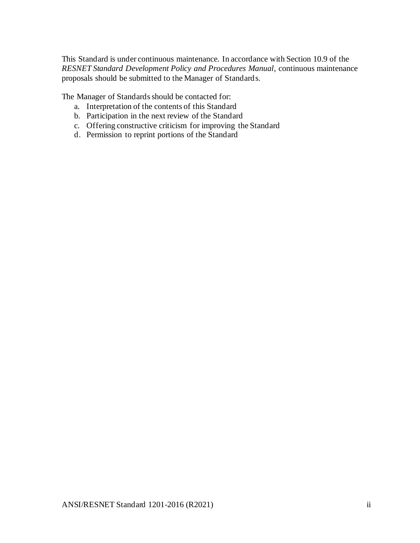This Standard is under continuous maintenance. In accordance with Section 10.9 of the *RESNET Standard Development Policy and Procedures Manual,* continuous maintenance proposals should be submitted to the Manager of Standards.

The Manager of Standards should be contacted for:

- a. Interpretation of the contents of this Standard
- b. Participation in the next review of the Standard
- c. Offering constructive criticism for improving the Standard
- d. Permission to reprint portions of the Standard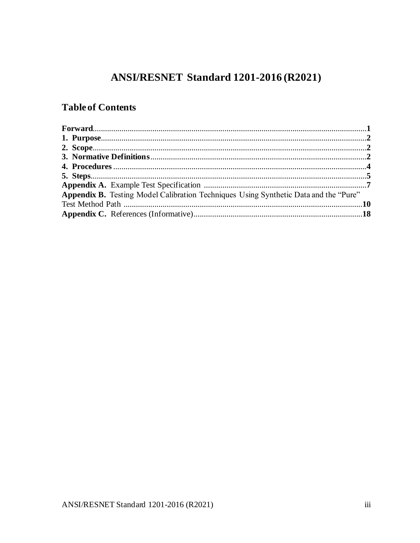# ANSI/RESNET Standard 1201-2016 (R2021)

## **Table of Contents**

| Appendix B. Testing Model Calibration Techniques Using Synthetic Data and the "Pure" |  |
|--------------------------------------------------------------------------------------|--|
|                                                                                      |  |
|                                                                                      |  |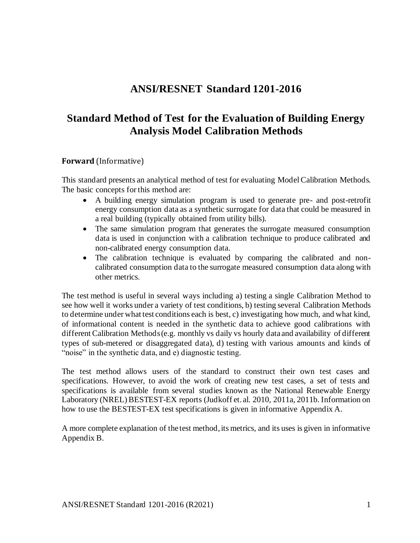# **ANSI/RESNET Standard 1201-2016**

# **Standard Method of Test for the Evaluation of Building Energy Analysis Model Calibration Methods**

#### **Forward** (Informative)

This standard presents an analytical method of test for evaluating Model Calibration Methods. The basic concepts for this method are:

- A building energy simulation program is used to generate pre- and post-retrofit energy consumption data as a synthetic surrogate for data that could be measured in a real building (typically obtained from utility bills).
- The same simulation program that generates the surrogate measured consumption data is used in conjunction with a calibration technique to produce calibrated and non-calibrated energy consumption data.
- The calibration technique is evaluated by comparing the calibrated and noncalibrated consumption data to the surrogate measured consumption data along with other metrics.

The test method is useful in several ways including a) testing a single Calibration Method to see how well it works under a variety of test conditions, b) testing several Calibration Methods to determine under what test conditions each is best, c) investigating how much, and what kind, of informational content is needed in the synthetic data to achieve good calibrations with different Calibration Methods (e.g. monthly vs daily vs hourly data and availability of different types of sub-metered or disaggregated data), d) testing with various amounts and kinds of "noise" in the synthetic data, and e) diagnostic testing.

The test method allows users of the standard to construct their own test cases and specifications. However, to avoid the work of creating new test cases, a set of tests and specifications is available from several studies known as the National Renewable Energy Laboratory (NREL) BESTEST-EX reports (Judkoff et. al. 2010, 2011a, 2011b. Information on how to use the BESTEST-EX test specifications is given in informative Appendix A.

A more complete explanation of the test method, its metrics, and its uses is given in informative Appendix B.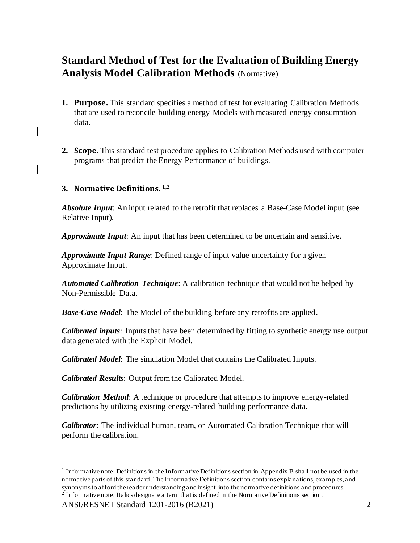# **Standard Method of Test for the Evaluation of Building Energy Analysis Model Calibration Methods** (Normative)

- **1. Purpose.** This standard specifies a method of test for evaluating Calibration Methods that are used to reconcile building energy Models with measured energy consumption data.
- **2. Scope.** This standard test procedure applies to Calibration Methods used with computer programs that predict the Energy Performance of buildings.

## **3. Normative Definitions. 1,2**

*Absolute Input*: An input related to the retrofit that replaces a Base-Case Model input (see Relative Input).

*Approximate Input*: An input that has been determined to be uncertain and sensitive.

*Approximate Input Range*: Defined range of input value uncertainty for a given Approximate Input.

*Automated Calibration Technique*: A calibration technique that would not be helped by Non-Permissible Data.

*Base-Case Model*: The Model of the building before any retrofits are applied.

*Calibrated inputs*: Inputs that have been determined by fitting to synthetic energy use output data generated with the Explicit Model.

*Calibrated Model*: The simulation Model that contains the Calibrated Inputs.

*Calibrated Results*: Output from the Calibrated Model.

*Calibration Method*: A technique or procedure that attempts to improve energy-related predictions by utilizing existing energy-related building performance data.

*Calibrator*: The individual human, team, or Automated Calibration Technique that will perform the calibration.

<sup>1</sup> Informative note: Definitions in the Informative Definitions section in Appendix B shall not be used in the normative parts of this standard. The Informative Definitions section contains explanations, examples, and synonymsto afford the reader understanding and insight into the normative definitions and procedures. <sup>2</sup> Informative note: Italics designate a term that is defined in the Normative Definitions section.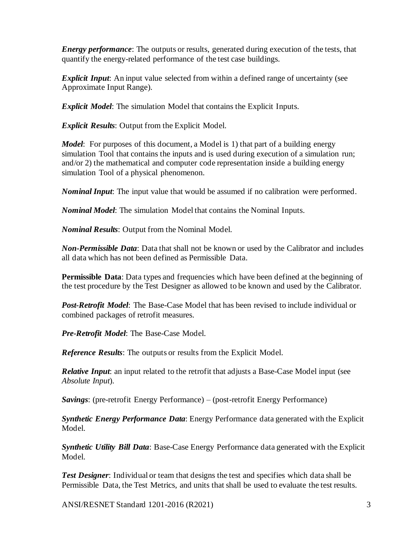*Energy performance*: The outputs or results, generated during execution of the tests, that quantify the energy-related performance of the test case buildings.

*Explicit Input*: An input value selected from within a defined range of uncertainty (see Approximate Input Range).

*Explicit Model*: The simulation Model that contains the Explicit Inputs.

*Explicit Results*: Output from the Explicit Model.

*Model*: For purposes of this document, a Model is 1) that part of a building energy simulation Tool that contains the inputs and is used during execution of a simulation run; and/or 2) the mathematical and computer code representation inside a building energy simulation Tool of a physical phenomenon.

*Nominal Input*: The input value that would be assumed if no calibration were performed.

*Nominal Model*: The simulation Model that contains the Nominal Inputs.

*Nominal Results*: Output from the Nominal Model.

*Non-Permissible Data*: Data that shall not be known or used by the Calibrator and includes all data which has not been defined as Permissible Data.

**Permissible Data**: Data types and frequencies which have been defined at the beginning of the test procedure by the Test Designer as allowed to be known and used by the Calibrator.

*Post-Retrofit Model*: The Base-Case Model that has been revised to include individual or combined packages of retrofit measures.

*Pre-Retrofit Model*: The Base-Case Model.

*Reference Results*: The outputs or results from the Explicit Model.

*Relative Input*: an input related to the retrofit that adjusts a Base-Case Model input (see *Absolute Input*).

*Savings*: (pre-retrofit Energy Performance) – (post-retrofit Energy Performance)

*Synthetic Energy Performance Data*: Energy Performance data generated with the Explicit Model.

*Synthetic Utility Bill Data*: Base-Case Energy Performance data generated with the Explicit Model.

*Test Designer*: Individual or team that designs the test and specifies which data shall be Permissible Data, the Test Metrics, and units that shall be used to evaluate the test results.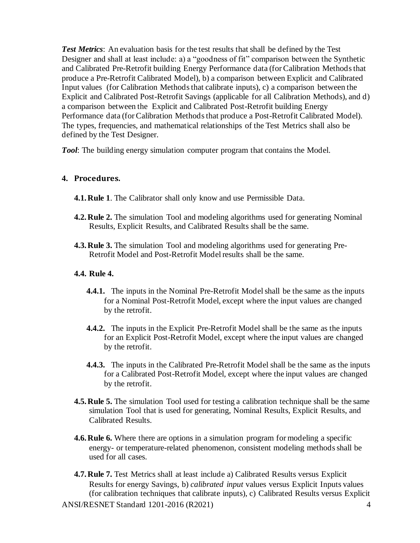*Test Metrics*: An evaluation basis for the test results that shall be defined by the Test Designer and shall at least include: a) a "goodness of fit" comparison between the Synthetic and Calibrated Pre-Retrofit building Energy Performance data (for Calibration Methods that produce a Pre-Retrofit Calibrated Model), b) a comparison between Explicit and Calibrated Input values (for Calibration Methods that calibrate inputs), c) a comparison between the Explicit and Calibrated Post-Retrofit Savings (applicable for all Calibration Methods), and d) a comparison between the Explicit and Calibrated Post-Retrofit building Energy Performance data (for Calibration Methods that produce a Post-Retrofit Calibrated Model). The types, frequencies, and mathematical relationships of the Test Metrics shall also be defined by the Test Designer.

*Tool*: The building energy simulation computer program that contains the Model.

#### **4. Procedures.**

- **4.1.Rule 1**. The Calibrator shall only know and use Permissible Data.
- **4.2.Rule 2.** The simulation Tool and modeling algorithms used for generating Nominal Results*,* Explicit Results*,* and Calibrated Results shall be the same.
- **4.3.Rule 3.** The simulation Tool and modeling algorithms used for generating Pre-Retrofit Model and Post-Retrofit Model results shall be the same.

#### **4.4. Rule 4.**

- **4.4.1.** The inputs in the Nominal Pre-Retrofit Model shall be the same as the inputs for a Nominal Post-Retrofit Model, except where the input values are changed by the retrofit.
- **4.4.2.** The inputs in the Explicit Pre-Retrofit Model shall be the same as the inputs for an Explicit Post-Retrofit Model, except where the input values are changed by the retrofit.
- **4.4.3.** The inputs in the Calibrated Pre-Retrofit Model shall be the same as the inputs for a Calibrated Post-Retrofit Model*,* except where the input values are changed by the retrofit.
- **4.5.Rule 5.** The simulation Tool used for testing a calibration technique shall be the same simulation Tool that is used for generating, Nominal Results*,* Explicit Results, and Calibrated Results.
- **4.6.Rule 6.** Where there are options in a simulation program for modeling a specific energy- or temperature-related phenomenon, consistent modeling methods shall be used for all cases.
- **4.7. Rule 7.** Test Metrics shall at least include a) Calibrated Results versus Explicit Results for energy Savings, b) *calibrated input* values versus Explicit Inputs values (for calibration techniques that calibrate inputs), c) Calibrated Results versus Explicit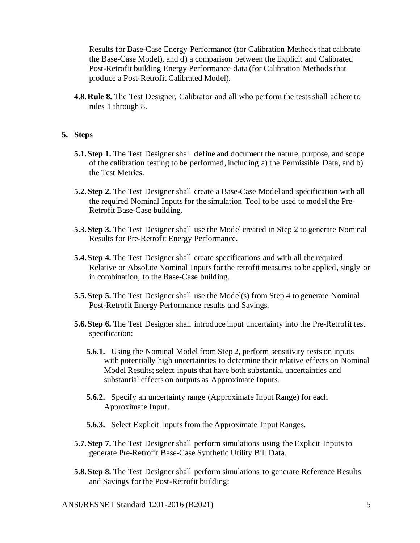Results for Base-Case Energy Performance (for Calibration Methodsthat calibrate the Base-Case Model), and d) a comparison between the Explicit and Calibrated Post-Retrofit building Energy Performance data (for Calibration Methods that produce a Post-Retrofit Calibrated Model).

**4.8.Rule 8.** The Test Designer*,* Calibrator and all who perform the tests shall adhere to rules 1 through 8.

#### **5. Steps**

- **5.1.Step 1.** The Test Designer shall define and document the nature, purpose, and scope of the calibration testing to be performed, including a) the Permissible Data, and b) the Test Metrics.
- **5.2.Step 2.** The Test Designer shall create a Base-Case Model and specification with all the required Nominal Inputsfor the simulation Tool to be used to model the Pre-Retrofit Base-Case building.
- **5.3. Step 3.** The Test Designer shall use the Model created in Step 2 to generate Nominal Results for Pre-Retrofit Energy Performance.
- **5.4.Step 4.** The Test Designer shall create specifications and with all the required Relative or Absolute Nominal Inputs for the retrofit measures to be applied, singly or in combination, to the Base-Case building.
- **5.5. Step 5.** The Test Designer shall use the Model(s) from Step 4 to generate Nominal Post-Retrofit Energy Performance results and Savings*.*
- **5.6.Step 6.** The Test Designer shall introduce input uncertainty into the Pre-Retrofit test specification:
	- **5.6.1.** Using the Nominal Model from Step 2, perform sensitivity tests on inputs with potentially high uncertainties to determine their relative effects on Nominal Model Results; select inputs that have both substantial uncertainties and substantial effects on outputs as Approximate Input*s*.
	- **5.6.2.** Specify an uncertainty range (Approximate Input Range) for each Approximate Input.
	- **5.6.3.** Select Explicit Inputs from the Approximate Input Ranges.
- **5.7. Step 7.** The Test Designer shall perform simulations using the Explicit Inputs to generate Pre-Retrofit Base-Case Synthetic Utility Bill Data*.*
- **5.8. Step 8.** The Test Designer shall perform simulations to generate Reference Results and Savings for the Post-Retrofit building: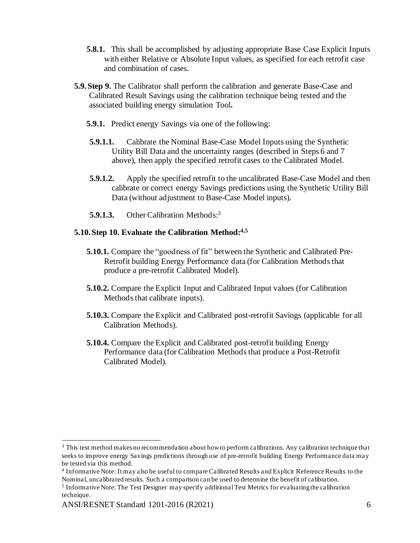- **5.8.1.** This shall be accomplished by adjusting appropriate Base Case Explicit Inputs with either Relative or Absolute Input values, as specified for each retrofit case and combination of cases.
- **5.9.Step 9.** The Calibrator shall perform the calibration and generate Base-Case and Calibrated Result Savings using the calibration technique being tested and the associated building energy simulation Tool**.**
	- **5.9.1.** Predict energy Savings via one of the following:
	- **5.9.1.1.** Calibrate the Nominal Base-Case Model Inputs using the Synthetic Utility Bill Data and the uncertainty ranges (described in Steps 6 and 7 above), then apply the specified retrofit cases to the Calibrated Model.
	- **5.9.1.2.** Apply the specified retrofit to the uncalibrated Base-Case Model and then calibrate or correct energy Savings predictions using the Synthetic Utility Bill Data (without adjustment to Base-Case Model inputs).
	- **5.9.1.3.** Other Calibration Methods:<sup>3</sup>

#### **5.10.Step 10. Evaluate the Calibration Method: 4,5**

- **5.10.1.** Compare the "goodness of fit" between the Synthetic and Calibrated Pre-Retrofit building Energy Performance data (for Calibration Methods that produce a pre-retrofit Calibrated Model).
- **5.10.2.** Compare the Explicit Input and Calibrated Input values (for Calibration Methods that calibrate inputs).
- **5.10.3.** Compare the Explicit and Calibrated post-retrofit Savings (applicable for all Calibration Methods).
- **5.10.4.** Compare the Explicit and Calibrated post-retrofit building Energy Performance data (for Calibration Methods that produce a Post-Retrofit Calibrated Model).

<sup>&</sup>lt;sup>3</sup> This test method makes no recommendation about how to perform calibrations. Any calibration technique that seeks to improve energy Savings predictions through use of pre-retrofit building Energy Performance data may be tested via this method.

<sup>4</sup> Informative Note: It may also be useful to compare Calibrated Results and Explicit Reference Results to the Nominal, uncalibrated results. Such a comparison can be used to determine the benefit of calibration.

<sup>&</sup>lt;sup>5</sup> Informative Note: The Test Designer may specify additional Test Metrics for evaluating the calibration technique.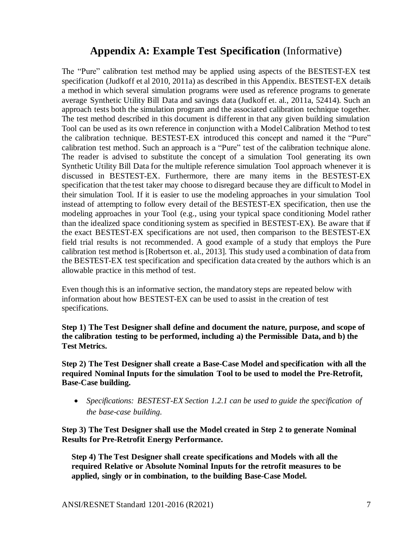# **Appendix A: Example Test Specification** (Informative)

The "Pure" calibration test method may be applied using aspects of the BESTEST-EX test specification (Judkoff et al 2010, 2011a) as described in this Appendix. BESTEST-EX details a method in which several simulation programs were used as reference programs to generate average Synthetic Utility Bill Data and savings data (Judkoff et. al., 2011a, 52414). Such an approach tests both the simulation program and the associated calibration technique together. The test method described in this document is different in that any given building simulation Tool can be used as its own reference in conjunction with a ModelCalibration Method to test the calibration technique. BESTEST-EX introduced this concept and named it the "Pure" calibration test method. Such an approach is a "Pure" test of the calibration technique alone. The reader is advised to substitute the concept of a simulation Tool generating its own Synthetic Utility Bill Data for the multiple reference simulation Tool approach whenever it is discussed in BESTEST-EX. Furthermore, there are many items in the BESTEST-EX specification that the test taker may choose to disregard because they are difficult to Model in their simulation Tool. If it is easier to use the modeling approaches in your simulation Tool instead of attempting to follow every detail of the BESTEST-EX specification, then use the modeling approaches in your Tool (e.g., using your typical space conditioning Model rather than the idealized space conditioning system as specified in BESTEST-EX). Be aware that if the exact BESTEST-EX specifications are not used, then comparison to the BESTEST-EX field trial results is not recommended. A good example of a study that employs the Pure calibration test method is [Robertson et. al., 2013]. This study used a combination of data from the BESTEST-EX test specification and specification data created by the authors which is an allowable practice in this method of test.

Even though this is an informative section, the mandatory steps are repeated below with information about how BESTEST-EX can be used to assist in the creation of test specifications.

**Step 1) The Test Designer shall define and document the nature, purpose, and scope of the calibration testing to be performed, including a) the Permissible Data, and b) the Test Metrics.** 

**Step 2) The Test Designer shall create a Base-Case Model and specification with all the required Nominal Inputs for the simulation Tool to be used to model the Pre-Retrofit, Base-Case building.**

• *Specifications: BESTEST-EX Section 1.2.1 can be used to guide the specification of the base-case building.*

**Step 3) The Test Designer shall use the Model created in Step 2 to generate Nominal Results for Pre-Retrofit Energy Performance.**

**Step 4) The Test Designer shall create specifications and Models with all the required Relative or Absolute Nominal Inputs for the retrofit measures to be applied, singly or in combination, to the building Base-Case Model.**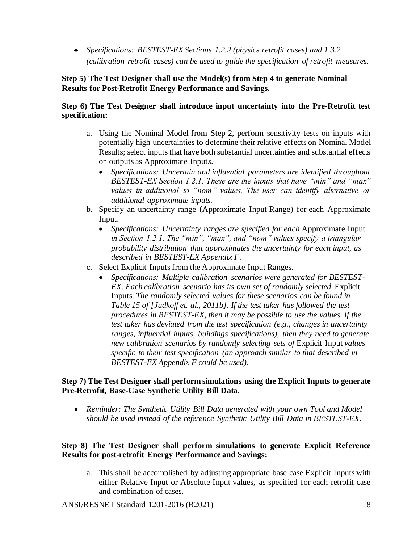• *Specifications: BESTEST-EX Sections 1.2.2 (physics retrofit cases) and 1.3.2 (calibration retrofit cases) can be used to guide the specification of retrofit measures.*

#### **Step 5) The Test Designer shall use the Model(s) from Step 4 to generate Nominal Results for Post-Retrofit Energy Performance and Savings.**

#### **Step 6) The Test Designer shall introduce input uncertainty into the Pre-Retrofit test specification:**

- a. Using the Nominal Model from Step 2, perform sensitivity tests on inputs with potentially high uncertainties to determine their relative effects on Nominal Model Results; select inputs that have both substantial uncertainties and substantial effects on outputs as Approximate Input*s*.
	- *Specifications: Uncertain and influential parameters are identified throughout BESTEST-EX Section 1.2.1. These are the inputs that have "min" and "max" values in additional to "nom" values. The user can identify alternative or additional approximate inputs.*
- b. Specify an uncertainty range (Approximate Input Range) for each Approximate Input.
	- *Specifications: Uncertainty ranges are specified for each Approximate Input in Section 1.2.1. The "min", "max", and "nom" values specify a triangular probability distribution that approximates the uncertainty for each input, as described in BESTEST-EX Appendix F.*
- c. Select Explicit Inputsfrom the Approximate Input Ranges.
	- *Specifications: Multiple calibration scenarios were generated for BESTEST-EX. Each calibration scenario has its own set of randomly selected* Explicit Inputs*. The randomly selected values for these scenarios can be found in Table 15 of [Judkoff et. al., 2011b]. If the test taker has followed the test procedures in BESTEST-EX, then it may be possible to use the values. If the test taker has deviated from the test specification (e.g., changes in uncertainty ranges, influential inputs, buildings specifications), then they need to generate new calibration scenarios by randomly selecting sets of Explicit Input values specific to their test specification (an approach similar to that described in BESTEST-EX Appendix F could be used).*

#### **Step 7) The Test Designer shall perform simulations using the Explicit Inputs to generate Pre-Retrofit, Base-Case Synthetic Utility Bill Data***.*

• *Reminder: The Synthetic Utility Bill Data generated with your own Tool and Model should be used instead of the reference Synthetic Utility Bill Data in BESTEST-EX.*

#### **Step 8) The Test Designer shall perform simulations to generate Explicit Reference Results for post-retrofit Energy Performance and Savings:**

a. This shall be accomplished by adjusting appropriate base case Explicit Inputs with either Relative Input or Absolute Input values, as specified for each retrofit case and combination of cases.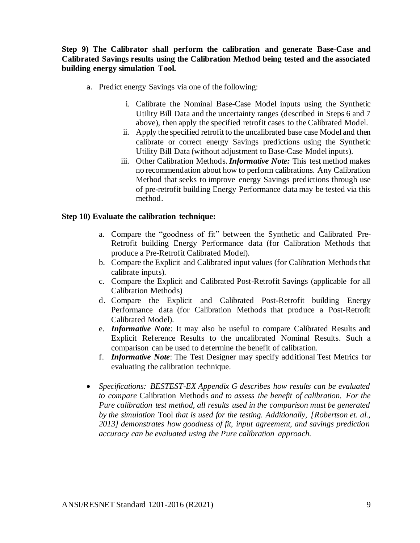#### **Step 9) The Calibrator shall perform the calibration and generate Base-Case and Calibrated Savings results using the Calibration Method being tested and the associated building energy simulation Tool.**

- a. Predict energy Savings via one of the following:
	- i. Calibrate the Nominal Base-Case Model inputs using the Synthetic Utility Bill Data and the uncertainty ranges (described in Steps 6 and 7 above), then apply the specified retrofit cases to the Calibrated Model.
	- ii. Apply the specified retrofit to the uncalibrated base case Model and then calibrate or correct energy Savings predictions using the Synthetic Utility Bill Data (without adjustment to Base-Case Model inputs).
	- iii. Other Calibration Methods. *Informative Note:* This test method makes no recommendation about how to perform calibrations. Any Calibration Method that seeks to improve energy Savings predictions through use of pre-retrofit building Energy Performance data may be tested via this method.

#### **Step 10) Evaluate the calibration technique:**

- a. Compare the "goodness of fit" between the Synthetic and Calibrated Pre-Retrofit building Energy Performance data (for Calibration Methods that produce a Pre-Retrofit Calibrated Model).
- b. Compare the Explicit and Calibrated input values (for Calibration Methods that calibrate inputs).
- c. Compare the Explicit and Calibrated Post-Retrofit Savings (applicable for all Calibration Methods)
- d. Compare the Explicit and Calibrated Post-Retrofit building Energy Performance data (for Calibration Methods that produce a Post-Retrofit Calibrated Model).
- e. *Informative Note*: It may also be useful to compare Calibrated Results and Explicit Reference Results to the uncalibrated Nominal Results. Such a comparison can be used to determine the benefit of calibration.
- f. *Informative Note*: The Test Designer may specify additional Test Metrics for evaluating the calibration technique.
- *Specifications: BESTEST-EX Appendix G describes how results can be evaluated to compare* Calibration Methods *and to assess the benefit of calibration. For the Pure calibration test method, all results used in the comparison must be generated by the simulation* Tool *that is used for the testing. Additionally, [Robertson et. al., 2013] demonstrates how goodness of fit, input agreement, and savings prediction accuracy can be evaluated using the Pure calibration approach.*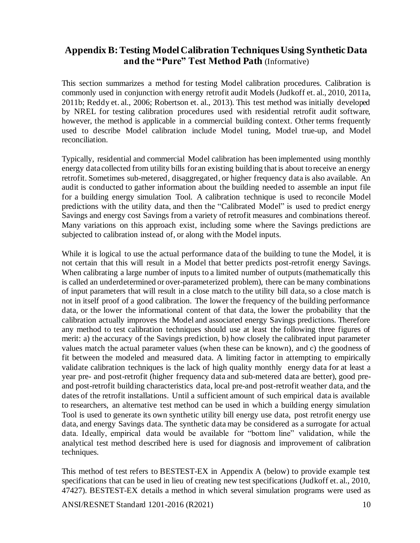## **Appendix B: Testing Model Calibration Techniques Using Synthetic Data and the "Pure" Test Method Path** (Informative)

This section summarizes a method for testing Model calibration procedures. Calibration is commonly used in conjunction with energy retrofit audit Models (Judkoff et. al., 2010, 2011a, 2011b; Reddy et. al., 2006; Robertson et. al., 2013). This test method was initially developed by NREL for testing calibration procedures used with residential retrofit audit software, however, the method is applicable in a commercial building context. Other terms frequently used to describe Model calibration include Model tuning, Model true-up, and Model reconciliation.

Typically, residential and commercial Model calibration has been implemented using monthly energy data collected from utility bills for an existing building that is about to receive an energy retrofit. Sometimes sub-metered, disaggregated, or higher frequency data is also available. An audit is conducted to gather information about the building needed to assemble an input file for a building energy simulation Tool. A calibration technique is used to reconcile Model predictions with the utility data, and then the "Calibrated Model" is used to predict energy Savings and energy cost Savings from a variety of retrofit measures and combinations thereof. Many variations on this approach exist, including some where the Savings predictions are subjected to calibration instead of, or along with the Model inputs.

While it is logical to use the actual performance data of the building to tune the Model, it is not certain that this will result in a Model that better predicts post-retrofit energy Savings. When calibrating a large number of inputs to a limited number of outputs (mathematically this is called an underdetermined or over-parameterized problem), there can be many combinations of input parameters that will result in a close match to the utility bill data, so a close match is not in itself proof of a good calibration. The lower the frequency of the building performance data, or the lower the informational content of that data, the lower the probability that the calibration actually improves the Model and associated energy Savings predictions. Therefore any method to test calibration techniques should use at least the following three figures of merit: a) the accuracy of the Savings prediction, b) how closely the calibrated input parameter values match the actual parameter values (when these can be known), and c) the goodness of fit between the modeled and measured data. A limiting factor in attempting to empirically validate calibration techniques is the lack of high quality monthly energy data for at least a year pre- and post-retrofit (higher frequency data and sub-metered data are better), good preand post-retrofit building characteristics data, local pre-and post-retrofit weather data, and the dates of the retrofit installations. Until a sufficient amount of such empirical data is available to researchers, an alternative test method can be used in which a building energy simulation Tool is used to generate its own synthetic utility bill energy use data, post retrofit energy use data, and energy Savings data. The synthetic data may be considered as a surrogate for actual data. Ideally, empirical data would be available for "bottom line" validation, while the analytical test method described here is used for diagnosis and improvement of calibration techniques.

This method of test refers to BESTEST-EX in Appendix A (below) to provide example test specifications that can be used in lieu of creating new test specifications (Judkoff et. al., 2010, 47427). BESTEST-EX details a method in which several simulation programs were used as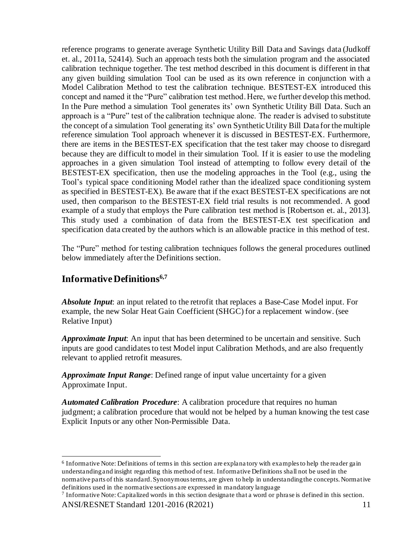reference programs to generate average Synthetic Utility Bill Data and Savings data (Judkoff et. al., 2011a, 52414). Such an approach tests both the simulation program and the associated calibration technique together. The test method described in this document is different in that any given building simulation Tool can be used as its own reference in conjunction with a Model Calibration Method to test the calibration technique. BESTEST-EX introduced this concept and named it the "Pure" calibration test method. Here, we further develop this method. In the Pure method a simulation Tool generates its' own Synthetic Utility Bill Data. Such an approach is a "Pure" test of the calibration technique alone. The reader is advised to substitute the concept of a simulation Tool generating its' own Synthetic Utility Bill Data for the multiple reference simulation Tool approach whenever it is discussed in BESTEST-EX. Furthermore, there are items in the BESTEST-EX specification that the test taker may choose to disregard because they are difficult to model in their simulation Tool. If it is easier to use the modeling approaches in a given simulation Tool instead of attempting to follow every detail of the BESTEST-EX specification, then use the modeling approaches in the Tool (e.g., using the Tool's typical space conditioning Model rather than the idealized space conditioning system as specified in BESTEST-EX). Be aware that if the exact BESTEST-EX specifications are not used, then comparison to the BESTEST-EX field trial results is not recommended. A good example of a study that employs the Pure calibration test method is [Robertson et. al., 2013]. This study used a combination of data from the BESTEST-EX test specification and specification data created by the authors which is an allowable practice in this method of test.

The "Pure" method for testing calibration techniques follows the general procedures outlined below immediately after the Definitions section.

## **Informative Definitions6,7**

*Absolute Input*: an input related to the retrofit that replaces a Base-Case Model input. For example, the new Solar Heat Gain Coefficient (SHGC) for a replacement window. (see Relative Input)

*Approximate Input*: An input that has been determined to be uncertain and sensitive. Such inputs are good candidates to test Model input Calibration Methods, and are also frequently relevant to applied retrofit measures.

*Approximate Input Range*: Defined range of input value uncertainty for a given Approximate Input.

*Automated Calibration Procedure*: A calibration procedure that requires no human judgment; a calibration procedure that would not be helped by a human knowing the test case Explicit Inputs or any other Non-Permissible Data.

<sup>&</sup>lt;sup>6</sup> Informative Note: Definitions of terms in this section are explanatory with examples to help the reader gain understanding and insight regarding this method of test. Informative Definitions shall not be used in the normative parts of this standard. Synonymous terms, are given to help in understanding the concepts. Normative definitions used in the normative sections are expressed in mandatory language

<sup>&</sup>lt;sup>7</sup> Informative Note: Capitalized words in this section designate that a word or phrase is defined in this section.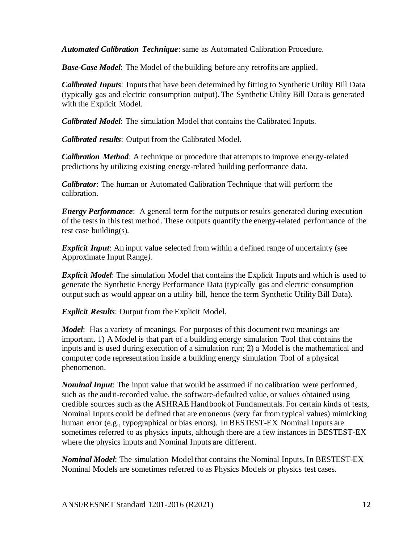*Automated Calibration Technique*: same as Automated Calibration Procedure.

*Base-Case Model*: The Model of the building before any retrofits are applied.

*Calibrated Inputs*: Inputs that have been determined by fitting to Synthetic Utility Bill Data (typically gas and electric consumption output). The Synthetic Utility Bill Data is generated with the Explicit Model.

*Calibrated Model*: The simulation Model that contains the Calibrated Inputs.

*Calibrated results*: Output from the Calibrated Model.

*Calibration Method*: A technique or procedure that attempts to improve energy-related predictions by utilizing existing energy-related building performance data.

*Calibrator*: The human or Automated Calibration Technique that will perform the calibration.

*Energy Performance*: A general term for the outputs or results generated during execution of the tests in this test method. These outputs quantify the energy-related performance of the test case building(s).

*Explicit Input*: An input value selected from within a defined range of uncertainty (see Approximate Input Range*).*

*Explicit Model*: The simulation Model that contains the Explicit Inputs and which is used to generate the Synthetic Energy Performance Data (typically gas and electric consumption output such as would appear on a utility bill, hence the term Synthetic Utility Bill Data).

*Explicit Results*: Output from the Explicit Model.

*Model*: Has a variety of meanings. For purposes of this document two meanings are important. 1) A Model is that part of a building energy simulation Tool that contains the inputs and is used during execution of a simulation run; 2) a Model is the mathematical and computer code representation inside a building energy simulation Tool of a physical phenomenon.

*Nominal Input*: The input value that would be assumed if no calibration were performed, such as the audit-recorded value, the software-defaulted value, or values obtained using credible sources such as the ASHRAE Handbook of Fundamentals. For certain kinds of tests, Nominal Inputs could be defined that are erroneous (very far from typical values) mimicking human error (e.g., typographical or bias errors). In BESTEST-EX Nominal Inputs are sometimes referred to as physics inputs, although there are a few instances in BESTEST-EX where the physics inputs and Nominal Inputs are different.

*Nominal Model*: The simulation Model that contains the Nominal Inputs. In BESTEST-EX Nominal Models are sometimes referred to as Physics Models or physics test cases.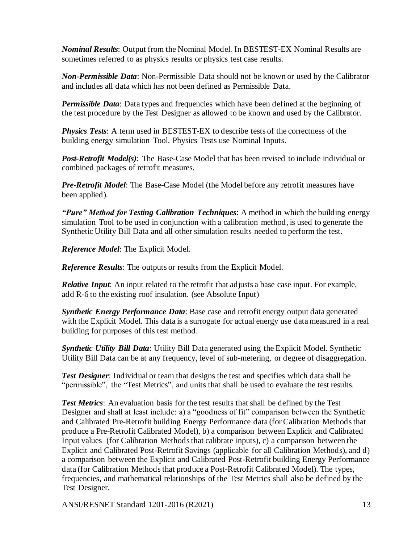*Nominal Results*: Output from the Nominal Model. In BESTEST-EX Nominal Results are sometimes referred to as physics results or physics test case results.

*Non-Permissible Data*: Non-Permissible Data should not be known or used by the Calibrator and includes all data which has not been defined as Permissible Data.

*Permissible Data*: Data types and frequencies which have been defined at the beginning of the test procedure by the Test Designer as allowed to be known and used by the Calibrator.

*Physics Tests*: A term used in BESTEST-EX to describe tests of the correctness of the building energy simulation Tool. Physics Tests use Nominal Inputs.

*Post-Retrofit Model(s)*: The Base-Case Model that has been revised to include individual or combined packages of retrofit measures.

*Pre-Retrofit Model*: The Base-Case Model (the Model before any retrofit measures have been applied).

*"Pure" Method for Testing Calibration Techniques*: A method in which the building energy simulation Tool to be used in conjunction with a calibration method, is used to generate the Synthetic Utility Bill Data and all other simulation results needed to perform the test.

*Reference Model*: The Explicit Model.

*Reference Results*: The outputs or results from the Explicit Model.

*Relative Input*: An input related to the retrofit that adjusts a base case input. For example, add R-6 to the existing roof insulation. (see Absolute Input)

*Synthetic Energy Performance Data*: Base case and retrofit energy output data generated with the Explicit Model. This data is a surrogate for actual energy use data measured in a real building for purposes of this test method.

*Synthetic Utility Bill Data*: Utility Bill Data generated using the Explicit Model. Synthetic Utility Bill Data can be at any frequency, level of sub-metering, or degree of disaggregation.

*Test Designer*: Individual or team that designs the test and specifies which data shall be "permissible", the "Test Metrics", and units that shall be used to evaluate the test results.

*Test Metrics*: An evaluation basis for the test results that shall be defined by the Test Designer and shall at least include: a) a "goodness of fit" comparison between the Synthetic and Calibrated Pre-Retrofit building Energy Performance data (for Calibration Methods that produce a Pre-Retrofit Calibrated Model), b) a comparison between Explicit and Calibrated Input values (for Calibration Methods that calibrate inputs), c) a comparison between the Explicit and Calibrated Post-Retrofit Savings (applicable for all Calibration Methods), and d) a comparison between the Explicit and Calibrated Post-Retrofit building Energy Performance data (for Calibration Methods that produce a Post-Retrofit Calibrated Model). The types, frequencies, and mathematical relationships of the Test Metrics shall also be defined by the Test Designer.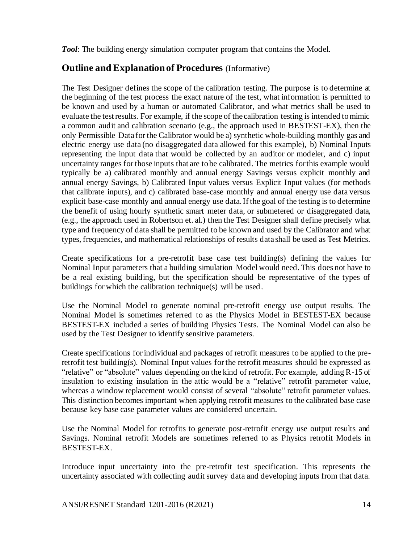*Tool*: The building energy simulation computer program that contains the Model.

## **Outline and Explanation of Procedures** (Informative)

The Test Designer defines the scope of the calibration testing. The purpose is to determine at the beginning of the test process the exact nature of the test, what information is permitted to be known and used by a human or automated Calibrator, and what metrics shall be used to evaluate the test results. For example, if the scope of the calibration testing is intended to mimic a common audit and calibration scenario (e.g., the approach used in BESTEST-EX), then the only Permissible Data for the Calibrator would be a) synthetic whole-building monthly gas and electric energy use data (no disaggregated data allowed for this example), b) Nominal Inputs representing the input data that would be collected by an auditor or modeler, and c) input uncertainty ranges for those inputs that are to be calibrated. The metrics for this example would typically be a) calibrated monthly and annual energy Savings versus explicit monthly and annual energy Savings, b) Calibrated Input values versus Explicit Input values (for methods that calibrate inputs), and c) calibrated base-case monthly and annual energy use data versus explicit base-case monthly and annual energy use data. If the goal of the testing is to determine the benefit of using hourly synthetic smart meter data, or submetered or disaggregated data, (e.g., the approach used in Robertson et. al.) then the Test Designer shall define precisely what type and frequency of data shall be permitted to be known and used by the Calibrator and what types, frequencies, and mathematical relationships of results data shall be used as Test Metrics.

Create specifications for a pre-retrofit base case test building(s) defining the values for Nominal Input parameters that a building simulation Model would need. This does not have to be a real existing building, but the specification should be representative of the types of buildings for which the calibration technique(s) will be used.

Use the Nominal Model to generate nominal pre-retrofit energy use output results. The Nominal Model is sometimes referred to as the Physics Model in BESTEST-EX because BESTEST-EX included a series of building Physics Tests. The Nominal Model can also be used by the Test Designer to identify sensitive parameters.

Create specifications for individual and packages of retrofit measures to be applied to the preretrofit test building(s). Nominal Input values for the retrofit measures should be expressed as "relative" or "absolute" values depending on the kind of retrofit. For example, adding R-15 of insulation to existing insulation in the attic would be a "relative" retrofit parameter value, whereas a window replacement would consist of several "absolute" retrofit parameter values. This distinction becomes important when applying retrofit measures to the calibrated base case because key base case parameter values are considered uncertain.

Use the Nominal Model for retrofits to generate post-retrofit energy use output results and Savings. Nominal retrofit Models are sometimes referred to as Physics retrofit Models in BESTEST-EX.

Introduce input uncertainty into the pre-retrofit test specification. This represents the uncertainty associated with collecting audit survey data and developing inputs from that data.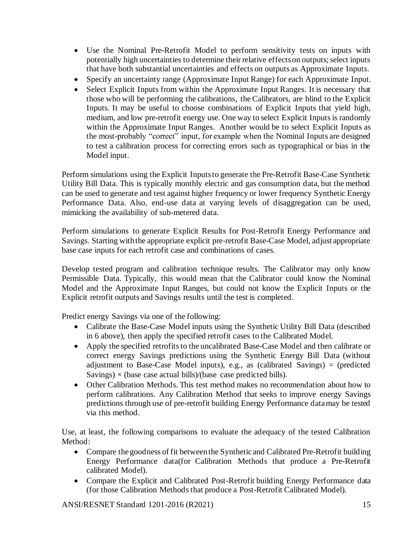- Use the Nominal Pre-Retrofit Model to perform sensitivity tests on inputs with potentially high uncertainties to determine their relative effects on outputs; select inputs that have both substantial uncertainties and effects on outputs as Approximate Input*s*.
- Specify an uncertainty range (Approximate Input Range) for each Approximate Input.
- Select Explicit Inputs from within the Approximate Input Ranges. It is necessary that those who will be performing the calibrations, the Calibrators*,* are blind to the Explicit Inputs. It may be useful to choose combinations of Explicit Inputs that yield high, medium, and low pre-retrofit energy use. One way to select Explicit Inputs is randomly within the Approximate Input Ranges. Another would be to select Explicit Inputs as the most-probably "correct" input, for example when the Nominal Inputs are designed to test a calibration process for correcting errors such as typographical or bias in the Model input.

Perform simulations using the Explicit Inputsto generate the Pre-Retrofit Base-Case Synthetic Utility Bill Data. This is typically monthly electric and gas consumption data, but the method can be used to generate and test against higher frequency or lower frequency Synthetic Energy Performance Data. Also, end-use data at varying levels of disaggregation can be used, mimicking the availability of sub-metered data.

Perform simulations to generate Explicit Results for Post-Retrofit Energy Performance and Savings. Starting with the appropriate explicit pre-retrofit Base-Case Model, adjust appropriate base case inputs for each retrofit case and combinations of cases.

Develop tested program and calibration technique results. The Calibrator may only know Permissible Data. Typically, this would mean that the Calibrator could know the Nominal Model and the Approximate Input Ranges, but could not know the Explicit Inputs or the Explicit retrofit outputs and Savings results until the test is completed.

Predict energy Savings via one of the following:

- Calibrate the Base-Case Model inputs using the Synthetic Utility Bill Data (described in 6 above), then apply the specified retrofit cases to the Calibrated Model.
- Apply the specified retrofits to the uncalibrated Base-Case Model and then calibrate or correct energy Savings predictions using the Synthetic Energy Bill Data (without adjustment to Base-Case Model inputs), e.g., as (calibrated Savings) = (predicted Savings)  $\times$  (base case actual bills)/(base case predicted bills).
- Other Calibration Methods. This test method makes no recommendation about how to perform calibrations. Any Calibration Method that seeks to improve energy Savings predictions through use of pre-retrofit building Energy Performance data may be tested via this method.

Use, at least, the following comparisons to evaluate the adequacy of the tested Calibration Method:

- Compare the goodness of fit between the Synthetic and Calibrated Pre-Retrofit building Energy Performance data(for Calibration Methods that produce a Pre-Retrofit calibrated Model).
- Compare the Explicit and Calibrated Post-Retrofit building Energy Performance data (for those Calibration Methods that produce a Post-Retrofit Calibrated Model).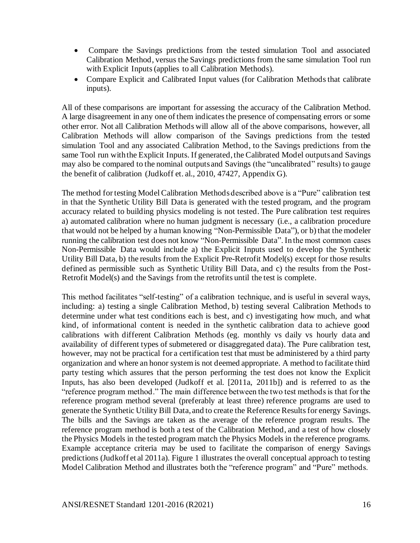- Compare the Savings predictions from the tested simulation Tool and associated Calibration Method, versus the Savings predictions from the same simulation Tool run with Explicit Inputs (applies to all Calibration Methods).
- Compare Explicit and Calibrated Input values (for Calibration Methods that calibrate inputs).

All of these comparisons are important for assessing the accuracy of the Calibration Method. A large disagreement in any one of them indicates the presence of compensating errors or some other error. Not all Calibration Methods will allow all of the above comparisons, however, all Calibration Methods will allow comparison of the Savings predictions from the tested simulation Tool and any associated Calibration Method, to the Savings predictions from the same Tool run with the Explicit Inputs. If generated, the Calibrated Model outputs and Savings may also be compared to the nominal outputs and Savings (the "uncalibrated" results) to gauge the benefit of calibration (Judkoff et. al., 2010, 47427, Appendix G).

The method for testing Model Calibration Methods described above is a "Pure" calibration test in that the Synthetic Utility Bill Data is generated with the tested program, and the program accuracy related to building physics modeling is not tested. The Pure calibration test requires a) automated calibration where no human judgment is necessary (i.e., a calibration procedure that would not be helped by a human knowing "Non-Permissible Data"), or b) that the modeler running the calibration test does not know "Non-Permissible Data". In the most common cases Non-Permissible Data would include a) the Explicit Inputs used to develop the Synthetic Utility Bill Data, b) the results from the Explicit Pre-Retrofit Model(s) except for those results defined as permissible such as Synthetic Utility Bill Data, and c) the results from the Post-Retrofit Model(s) and the Savings from the retrofits until the test is complete.

This method facilitates "self-testing" of a calibration technique, and is useful in several ways, including: a) testing a single Calibration Method, b) testing several Calibration Methods to determine under what test conditions each is best, and c) investigating how much, and what kind, of informational content is needed in the synthetic calibration data to achieve good calibrations with different Calibration Methods (eg. monthly vs daily vs hourly data and availability of different types of submetered or disaggregated data). The Pure calibration test, however, may not be practical for a certification test that must be administered by a third party organization and where an honor system is not deemed appropriate. A method to facilitate third party testing which assures that the person performing the test does not know the Explicit Inputs, has also been developed (Judkoff et al. [2011a, 2011b]) and is referred to as the "reference program method." The main difference between the two test methods is that for the reference program method several (preferably at least three) reference programs are used to generate the Synthetic Utility Bill Data, and to create the Reference Results for energy Savings. The bills and the Savings are taken as the average of the reference program results. The reference program method is both a test of the Calibration Method, and a test of how closely the Physics Models in the tested program match the Physics Models in the reference programs. Example acceptance criteria may be used to facilitate the comparison of energy Savings predictions (Judkoff et al 2011a). Figure 1 illustrates the overall conceptual approach to testing Model Calibration Method and illustrates both the "reference program" and "Pure" methods.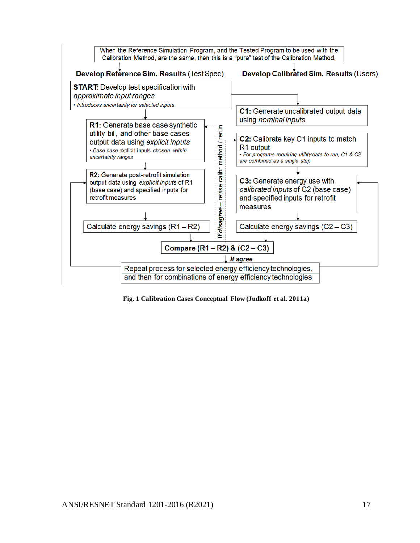

**Fig. 1 Calibration Cases Conceptual Flow (Judkoff et al. 2011a)**